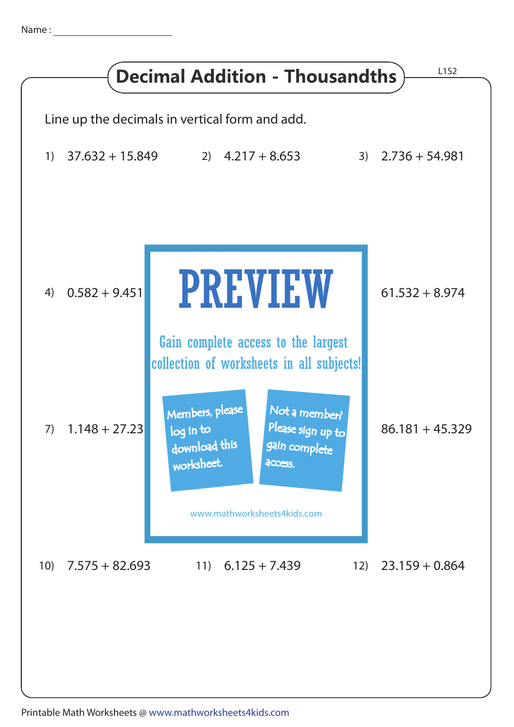